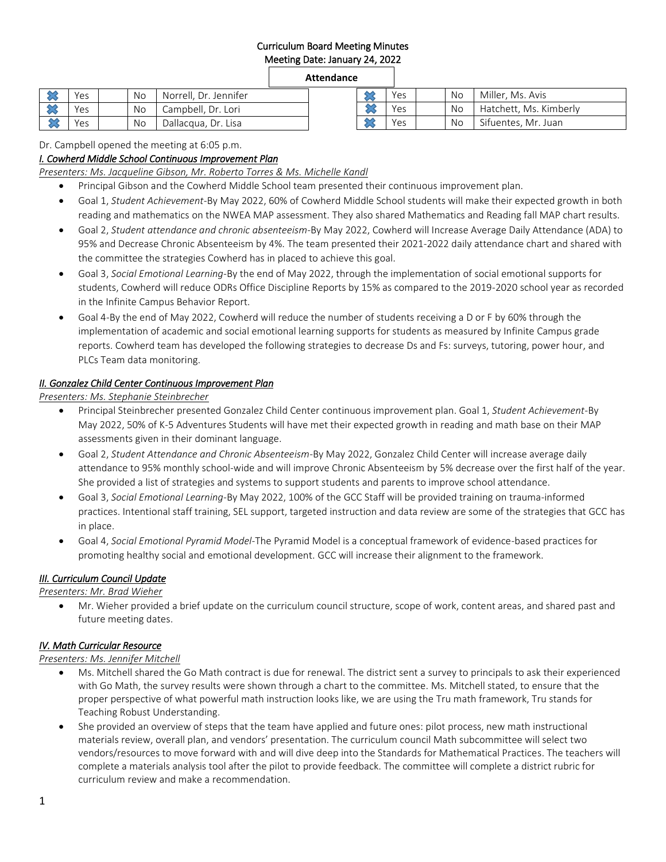## Curriculum Board Meeting Minutes Meeting Date: January 24, 2022

### **Attendance**

|        | Yes | <b>No</b> | Norrell, Dr. Jennifer | ∼<br>$\sim$ | Yes | <b>No</b> | Miller, Ms. Avis       |
|--------|-----|-----------|-----------------------|-------------|-----|-----------|------------------------|
|        | Yes | No.       | Campbell, Dr. Lori    | ᅀ           | Yes | No.       | Hatchett, Ms. Kimberly |
| $\sim$ | Yes | <b>No</b> | Dallacqua, Dr. Lisa   | ᅀ<br>ີ      | Yes | <b>No</b> | Sifuentes, Mr. Juan    |

Dr. Campbell opened the meeting at 6:05 p.m.

### *I. Cowherd Middle School Continuous Improvement Plan*

*Presenters: Ms. Jacqueline Gibson, Mr. Roberto Torres & Ms. Michelle Kandl*

- Principal Gibson and the Cowherd Middle School team presented their continuous improvement plan.
- Goal 1, *Student Achievement*-By May 2022, 60% of Cowherd Middle School students will make their expected growth in both reading and mathematics on the NWEA MAP assessment. They also shared Mathematics and Reading fall MAP chart results.
- Goal 2, *Student attendance and chronic absenteeism*-By May 2022, Cowherd will Increase Average Daily Attendance (ADA) to 95% and Decrease Chronic Absenteeism by 4%. The team presented their 2021-2022 daily attendance chart and shared with the committee the strategies Cowherd has in placed to achieve this goal.
- Goal 3, *Social Emotional Learning-*By the end of May 2022, through the implementation of social emotional supports for students, Cowherd will reduce ODRs Office Discipline Reports by 15% as compared to the 2019-2020 school year as recorded in the Infinite Campus Behavior Report.
- Goal 4-By the end of May 2022, Cowherd will reduce the number of students receiving a D or F by 60% through the implementation of academic and social emotional learning supports for students as measured by Infinite Campus grade reports. Cowherd team has developed the following strategies to decrease Ds and Fs: surveys, tutoring, power hour, and PLCs Team data monitoring.

## *II. Gonzalez Child Center Continuous Improvement Plan*

*Presenters: Ms. Stephanie Steinbrecher*

- Principal Steinbrecher presented Gonzalez Child Center continuous improvement plan. Goal 1, *Student Achievement*-By May 2022, 50% of K-5 Adventures Students will have met their expected growth in reading and math base on their MAP assessments given in their dominant language.
- Goal 2, *Student Attendance and Chronic Absenteeism*-By May 2022, Gonzalez Child Center will increase average daily attendance to 95% monthly school-wide and will improve Chronic Absenteeism by 5% decrease over the first half of the year. She provided a list of strategies and systems to support students and parents to improve school attendance.
- Goal 3, *Social Emotional Learning-*By May 2022, 100% of the GCC Staff will be provided training on trauma-informed practices. Intentional staff training, SEL support, targeted instruction and data review are some of the strategies that GCC has in place.
- Goal 4, *Social Emotional Pyramid Model*-The Pyramid Model is a conceptual framework of evidence-based practices for promoting healthy social and emotional development. GCC will increase their alignment to the framework.

### *III. Curriculum Council Update*

*Presenters: Mr. Brad Wieher*

 Mr. Wieher provided a brief update on the curriculum council structure, scope of work, content areas, and shared past and future meeting dates.

### *IV. Math Curricular Resource*

*Presenters: Ms. Jennifer Mitchell*

- Ms. Mitchell shared the Go Math contract is due for renewal. The district sent a survey to principals to ask their experienced with Go Math, the survey results were shown through a chart to the committee. Ms. Mitchell stated, to ensure that the proper perspective of what powerful math instruction looks like, we are using the Tru math framework, Tru stands for Teaching Robust Understanding.
- She provided an overview of steps that the team have applied and future ones: pilot process, new math instructional materials review, overall plan, and vendors' presentation. The curriculum council Math subcommittee will select two vendors/resources to move forward with and will dive deep into the Standards for Mathematical Practices. The teachers will complete a materials analysis tool after the pilot to provide feedback. The committee will complete a district rubric for curriculum review and make a recommendation.